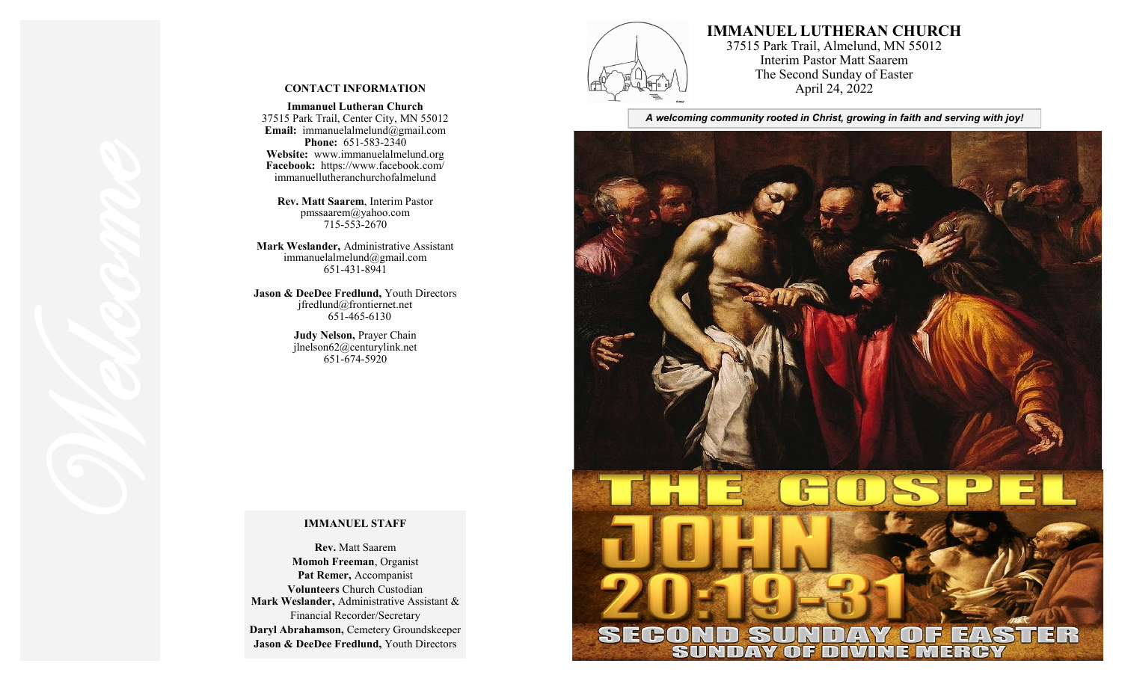

# **IMMANUEL LUTHERAN CHURCH**

37515 Park Trail, Almelund, MN 55012 Interim Pastor Matt Saarem The Second Sunday of Easter April 24, 2022

*A welcoming community rooted in Christ, growing in faith and serving with joy!*



#### **CONTACT INFORMATION**

**Immanuel Lutheran Church** 37515 Park Trail, Center City, MN 55012 **Email:** immanuelalmelund@gmail.com **Phone:** 651 -583 -2340 **Website:** www.immanuelalmelund.org **Facebook:** https://www.facebook.com/ immanuellutheranchurchofalmelund

**Rev. Matt Saarem**, Interim Pastor pmssaarem@yahoo.com 715 -553 -2670

**Mark Weslander,** Administrative Assistant immanuelalmelund@gmail.com 651 -431 -8941

**Jason & DeeDee Fredlund,** Youth Directors jfredlund@frontiernet.net 651 -465 -6130

> **Judy Nelson,** Prayer Chain jlnelson62@centurylink.net 651 -674 -5920

#### **IMMANUEL STAFF**

**Rev.** Matt Saarem **Momoh Freeman**, Organist **Pat Remer,** Accompanist **Volunteers** Church Custodian **Mark Weslander,** Administrative Assistant & Financial Recorder/Secretary **Daryl Abrahamson,** Cemetery Groundskeeper **Jason & DeeDee Fredlund,** Youth Directors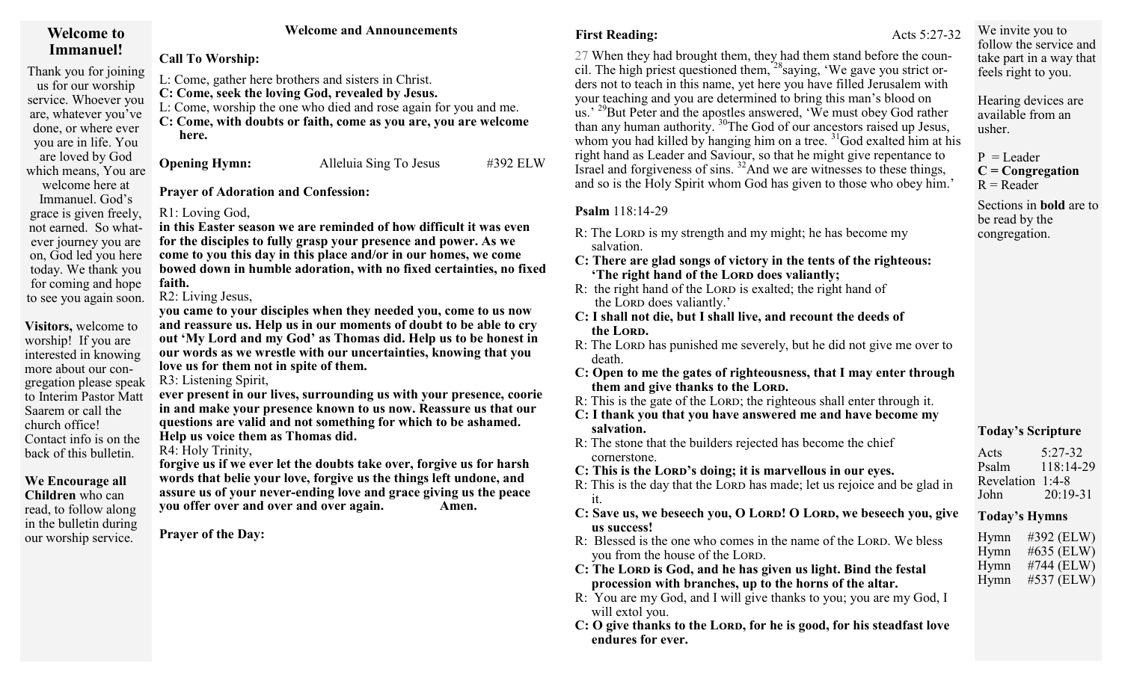# **Welcome to Immanuel!**

Thank you for joining us for our worship service. Whoever you are, whatever you've done, or where ever you are in life. You are loved by God which means, You are welcome here at

Immanuel. God's grace is given freely, not earned. So whatever journey you are on, God led you here today. We thank you for coming and hope to see you again soon.

**Visitors,** welcome to worship! If you are interested in knowing more about our congregation please speak to Interim Pastor Matt Saarem or call the church office! Contact info is on the back of this bulletin.

# **We Encourage all**

**Children** who can read, to follow along in the bulletin during our worship service.

# **Welcome and Announcements**

**Call To Worship:** 

L: Come, gather here brothers and sisters in Christ. **C: Come, seek the loving God, revealed by Jesus.**  L: Come, worship the one who died and rose again for you and me.

**C: Come, with doubts or faith, come as you are, you are welcome here.** 

**Opening Hymn:** Alleluia Sing To Jesus #392 ELW

**Prayer of Adoration and Confession:** 

# R1: Loving God,

**in this Easter season we are reminded of how difficult it was even for the disciples to fully grasp your presence and power. As we come to you this day in this place and/or in our homes, we come bowed down in humble adoration, with no fixed certainties, no fixed faith.** 

# R2: Living Jesus,

**you came to your disciples when they needed you, come to us now and reassure us. Help us in our moments of doubt to be able to cry out 'My Lord and my God' as Thomas did. Help us to be honest in our words as we wrestle with our uncertainties, knowing that you love us for them not in spite of them.** 

R3: Listening Spirit,

**ever present in our lives, surrounding us with your presence, coorie in and make your presence known to us now. Reassure us that our questions are valid and not something for which to be ashamed. Help us voice them as Thomas did.** 

R4: Holy Trinity,

**forgive us if we ever let the doubts take over, forgive us for harsh words that belie your love, forgive us the things left undone, and assure us of your never-ending love and grace giving us the peace you offer over and over and over again. Amen.** 

**Prayer of the Day:**

**First Reading: Acts** 5:27-32

27 When they had brought them, they had them stand before the council. The high priest questioned them,  $^{28}$ saying, 'We gave you strict orders not to teach in this name, yet here you have filled Jerusalem with your teaching and you are determined to bring this man's blood on us.' <sup>29</sup>But Peter and the apostles answered, 'We must obey God rather than any human authority. <sup>30</sup>The God of our ancestors raised up Jesus, whom you had killed by hanging him on a tree.  $31\text{God}$  exalted him at his right hand as Leader and Saviour, so that he might give repentance to Israel and forgiveness of sins.  $^{32}$ And we are witnesses to these things, and so is the Holy Spirit whom God has given to those who obey him.'

# **Psalm** 118:14-29

- R: The Lord is my strength and my might; he has become my salvation.
- **C: There are glad songs of victory in the tents of the righteous: 'The right hand of the Lord does valiantly;**
- R: the right hand of the LORD is exalted; the right hand of the LORD does valiantly.'
- **C: I shall not die, but I shall live, and recount the deeds of the Lord.**
- R: The Lord has punished me severely, but he did not give me over to death.
- **C: Open to me the gates of righteousness, that I may enter through them and give thanks to the Lord.**
- R: This is the gate of the LORD; the righteous shall enter through it.
- **C: I thank you that you have answered me and have become my salvation.**
- R: The stone that the builders rejected has become the chief cornerstone.
- **C: This is the Lord's doing; it is marvellous in our eyes.**
- R: This is the day that the LORD has made; let us rejoice and be glad in it.
- **C: Save us, we beseech you, O Lord! O Lord, we beseech you, give us success!**
- R: Blessed is the one who comes in the name of the LORD. We bless you from the house of the LORD.
- **C:** The LORD is God, and he has given us light. Bind the festal  **procession with branches, up to the horns of the altar.**
- R: You are my God, and I will give thanks to you; you are my God, I will extol you.
- **C: O give thanks to the Lord, for he is good, for his steadfast love endures for ever.**

We invite you to follow the service and take part in a way that feels right to you.

Hearing devices are available from an usher.

 $P = L$ eader **C = Congregation**  $R =$ Reader

Sections in **bold** are to be read by the congregation.

# **Today's Scripture**

Acts 5:27-32 Psalm 118:14-29 Revelation 1:4-8 John 20:19-31

### **Today's Hymns**

| Hymn | #392 (ELW) |
|------|------------|
| Hymn | #635 (ELW) |
| Hymn | #744 (ELW) |
| Hymn | #537 (ELW) |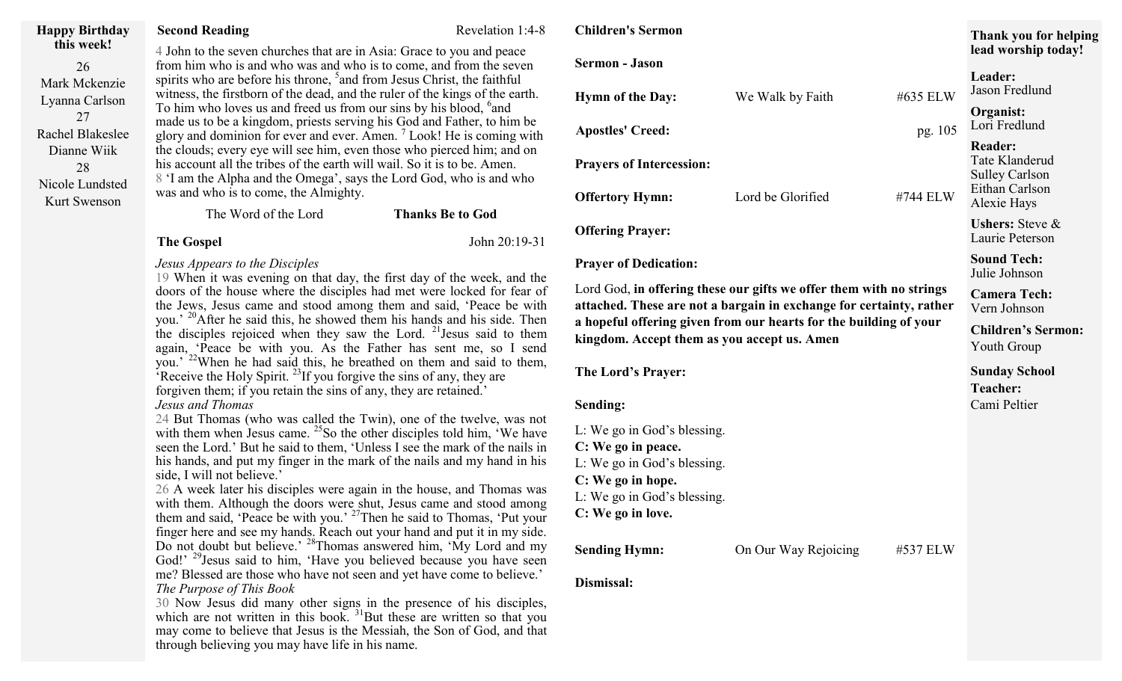| <b>Happy Birthday</b>                 | <b>Second Reading</b>                                                                                                                                                                                                                                                                                                                                                                                                                                                                                                                                                                                                                                                                                                                                                                                                                                                                                                                                                                                                                                                                                                                                                                                                                                                                                                                                                                                                                                                                                                                                                                                                                                                                                             | Revelation 1:4-8        | <b>Children's Sermon</b>                                                                                                                                                                                                                                       |                      |          |
|---------------------------------------|-------------------------------------------------------------------------------------------------------------------------------------------------------------------------------------------------------------------------------------------------------------------------------------------------------------------------------------------------------------------------------------------------------------------------------------------------------------------------------------------------------------------------------------------------------------------------------------------------------------------------------------------------------------------------------------------------------------------------------------------------------------------------------------------------------------------------------------------------------------------------------------------------------------------------------------------------------------------------------------------------------------------------------------------------------------------------------------------------------------------------------------------------------------------------------------------------------------------------------------------------------------------------------------------------------------------------------------------------------------------------------------------------------------------------------------------------------------------------------------------------------------------------------------------------------------------------------------------------------------------------------------------------------------------------------------------------------------------|-------------------------|----------------------------------------------------------------------------------------------------------------------------------------------------------------------------------------------------------------------------------------------------------------|----------------------|----------|
| this week!<br>26                      | 4 John to the seven churches that are in Asia: Grace to you and peace<br>from him who is and who was and who is to come, and from the seven<br>spirits who are before his throne, <sup>5</sup> and from Jesus Christ, the faithful<br>witness, the firstborn of the dead, and the ruler of the kings of the earth.<br>To him who loves us and freed us from our sins by his blood, <sup>6</sup> and<br>made us to be a kingdom, priests serving his God and Father, to him be<br>glory and dominion for ever and ever. Amen. <sup>7</sup> Look! He is coming with<br>the clouds; every eye will see him, even those who pierced him; and on                                                                                                                                                                                                                                                                                                                                                                                                                                                                                                                                                                                                                                                                                                                                                                                                                                                                                                                                                                                                                                                                       |                         | <b>Sermon</b> - Jason                                                                                                                                                                                                                                          |                      |          |
| Mark Mckenzie<br>Lyanna Carlson       |                                                                                                                                                                                                                                                                                                                                                                                                                                                                                                                                                                                                                                                                                                                                                                                                                                                                                                                                                                                                                                                                                                                                                                                                                                                                                                                                                                                                                                                                                                                                                                                                                                                                                                                   |                         | <b>Hymn of the Day:</b>                                                                                                                                                                                                                                        | We Walk by Faith     | #635 ELW |
| 27<br>Rachel Blakeslee<br>Dianne Wiik |                                                                                                                                                                                                                                                                                                                                                                                                                                                                                                                                                                                                                                                                                                                                                                                                                                                                                                                                                                                                                                                                                                                                                                                                                                                                                                                                                                                                                                                                                                                                                                                                                                                                                                                   |                         | <b>Apostles' Creed:</b>                                                                                                                                                                                                                                        |                      | pg. 105  |
| 28<br>Nicole Lundsted                 | his account all the tribes of the earth will wail. So it is to be. Amen.<br>8 'I am the Alpha and the Omega', says the Lord God, who is and who                                                                                                                                                                                                                                                                                                                                                                                                                                                                                                                                                                                                                                                                                                                                                                                                                                                                                                                                                                                                                                                                                                                                                                                                                                                                                                                                                                                                                                                                                                                                                                   |                         | <b>Prayers of Intercession:</b>                                                                                                                                                                                                                                |                      |          |
| Kurt Swenson                          | was and who is to come, the Almighty.<br>The Word of the Lord                                                                                                                                                                                                                                                                                                                                                                                                                                                                                                                                                                                                                                                                                                                                                                                                                                                                                                                                                                                                                                                                                                                                                                                                                                                                                                                                                                                                                                                                                                                                                                                                                                                     | <b>Thanks Be to God</b> | <b>Offertory Hymn:</b>                                                                                                                                                                                                                                         | Lord be Glorified    | #744 ELW |
|                                       | <b>The Gospel</b>                                                                                                                                                                                                                                                                                                                                                                                                                                                                                                                                                                                                                                                                                                                                                                                                                                                                                                                                                                                                                                                                                                                                                                                                                                                                                                                                                                                                                                                                                                                                                                                                                                                                                                 | John 20:19-31           | <b>Offering Prayer:</b>                                                                                                                                                                                                                                        |                      |          |
|                                       | Jesus Appears to the Disciples<br>19 When it was evening on that day, the first day of the week, and the<br>doors of the house where the disciples had met were locked for fear of<br>the Jews, Jesus came and stood among them and said, 'Peace be with<br>you.' <sup>20</sup> After he said this, he showed them his hands and his side. Then<br>the disciples rejoiced when they saw the Lord. <sup>21</sup> Jesus said to them<br>again, 'Peace be with you. As the Father has sent me, so I send<br>you.' <sup>22</sup> When he had said this, he breathed on them and said to them,<br>Receive the Holy Spirit. <sup>23</sup> If you forgive the sins of any, they are<br>forgiven them; if you retain the sins of any, they are retained.<br>Jesus and Thomas<br>24 But Thomas (who was called the Twin), one of the twelve, was not<br>with them when Jesus came. $^{25}$ So the other disciples told him, 'We have<br>seen the Lord.' But he said to them, 'Unless I see the mark of the nails in<br>his hands, and put my finger in the mark of the nails and my hand in his<br>side, I will not believe.'<br>26 A week later his disciples were again in the house, and Thomas was<br>with them. Although the doors were shut, Jesus came and stood among<br>them and said, 'Peace be with you.' <sup>27</sup> Then he said to Thomas, 'Put your<br>finger here and see my hands. Reach out your hand and put it in my side.<br>Do not doubt but believe.' <sup>28</sup> Thomas answered him, 'My Lord and my<br>God!' <sup>29</sup> Jesus said to him, 'Have you believed because you have seen<br>me? Blessed are those who have not seen and yet have come to believe.'<br>The Purpose of This Book |                         | <b>Prayer of Dedication:</b>                                                                                                                                                                                                                                   |                      |          |
|                                       |                                                                                                                                                                                                                                                                                                                                                                                                                                                                                                                                                                                                                                                                                                                                                                                                                                                                                                                                                                                                                                                                                                                                                                                                                                                                                                                                                                                                                                                                                                                                                                                                                                                                                                                   |                         | Lord God, in offering these our gifts we offer them with no strings<br>attached. These are not a bargain in exchange for certainty, rather<br>a hopeful offering given from our hearts for the building of your<br>kingdom. Accept them as you accept us. Amen |                      |          |
|                                       |                                                                                                                                                                                                                                                                                                                                                                                                                                                                                                                                                                                                                                                                                                                                                                                                                                                                                                                                                                                                                                                                                                                                                                                                                                                                                                                                                                                                                                                                                                                                                                                                                                                                                                                   |                         | The Lord's Prayer:                                                                                                                                                                                                                                             |                      |          |
|                                       |                                                                                                                                                                                                                                                                                                                                                                                                                                                                                                                                                                                                                                                                                                                                                                                                                                                                                                                                                                                                                                                                                                                                                                                                                                                                                                                                                                                                                                                                                                                                                                                                                                                                                                                   |                         | Sending:                                                                                                                                                                                                                                                       |                      |          |
|                                       |                                                                                                                                                                                                                                                                                                                                                                                                                                                                                                                                                                                                                                                                                                                                                                                                                                                                                                                                                                                                                                                                                                                                                                                                                                                                                                                                                                                                                                                                                                                                                                                                                                                                                                                   |                         | L: We go in God's blessing.                                                                                                                                                                                                                                    |                      |          |
|                                       |                                                                                                                                                                                                                                                                                                                                                                                                                                                                                                                                                                                                                                                                                                                                                                                                                                                                                                                                                                                                                                                                                                                                                                                                                                                                                                                                                                                                                                                                                                                                                                                                                                                                                                                   |                         | C: We go in peace.                                                                                                                                                                                                                                             |                      |          |
|                                       |                                                                                                                                                                                                                                                                                                                                                                                                                                                                                                                                                                                                                                                                                                                                                                                                                                                                                                                                                                                                                                                                                                                                                                                                                                                                                                                                                                                                                                                                                                                                                                                                                                                                                                                   |                         | L: We go in God's blessing.                                                                                                                                                                                                                                    |                      |          |
|                                       |                                                                                                                                                                                                                                                                                                                                                                                                                                                                                                                                                                                                                                                                                                                                                                                                                                                                                                                                                                                                                                                                                                                                                                                                                                                                                                                                                                                                                                                                                                                                                                                                                                                                                                                   |                         | C: We go in hope.                                                                                                                                                                                                                                              |                      |          |
|                                       |                                                                                                                                                                                                                                                                                                                                                                                                                                                                                                                                                                                                                                                                                                                                                                                                                                                                                                                                                                                                                                                                                                                                                                                                                                                                                                                                                                                                                                                                                                                                                                                                                                                                                                                   |                         | L: We go in God's blessing.<br>C: We go in love.                                                                                                                                                                                                               |                      |          |
|                                       |                                                                                                                                                                                                                                                                                                                                                                                                                                                                                                                                                                                                                                                                                                                                                                                                                                                                                                                                                                                                                                                                                                                                                                                                                                                                                                                                                                                                                                                                                                                                                                                                                                                                                                                   |                         |                                                                                                                                                                                                                                                                |                      |          |
|                                       |                                                                                                                                                                                                                                                                                                                                                                                                                                                                                                                                                                                                                                                                                                                                                                                                                                                                                                                                                                                                                                                                                                                                                                                                                                                                                                                                                                                                                                                                                                                                                                                                                                                                                                                   |                         | <b>Sending Hymn:</b>                                                                                                                                                                                                                                           | On Our Way Rejoicing | #537 ELW |
|                                       |                                                                                                                                                                                                                                                                                                                                                                                                                                                                                                                                                                                                                                                                                                                                                                                                                                                                                                                                                                                                                                                                                                                                                                                                                                                                                                                                                                                                                                                                                                                                                                                                                                                                                                                   |                         | Dismissal:                                                                                                                                                                                                                                                     |                      |          |

30 Now Jesus did many other signs in the presence of his disciples, which are not written in this book.  $31$ But these are written so that you may come to believe that Jesus is the Messiah, the Son of God, and that through believing you may have life in his name.

# We Walk by Faith #635 ELW **Apostles' Creed:** pg. 105 Lord be Glorified #744 ELW **Lour gifts we offer them with no strings** argain in exchange for certainty, rather **a** hour hearts for the building of your **kulter kingdom** accept us. Amen **lead worship today! Leader:** Jason Fredlund **Organist:** Lori Fredlund **Reader:** Tate Klanderud Sulley Carlson Eithan Carlson Alexie Hays **Ushers:** Steve & Laurie Peterson **Sound Tech:**  Julie Johnson **Camera Tech:** Vern Johnson **Children's Sermon:** Youth Group **Sunday School Teacher:** Cami Peltier

**Thank you for helping**